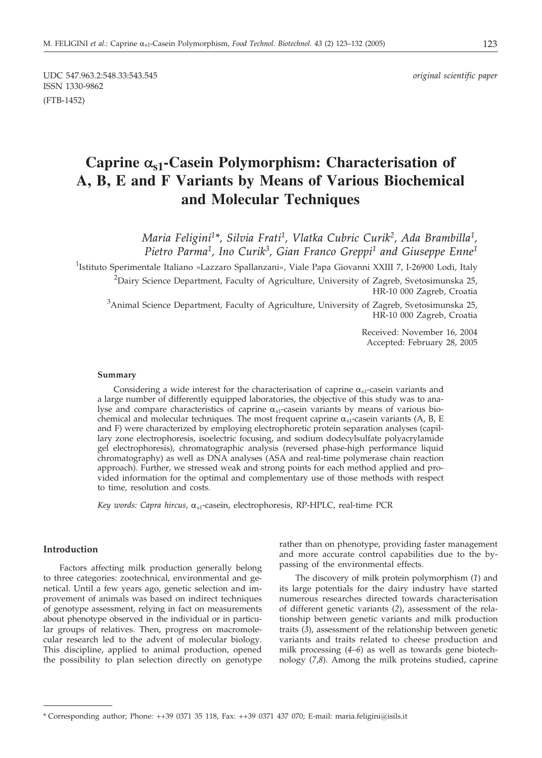UDC 547.963.2:548.33:543.545 *original scientific paper* ISSN 1330-9862 (FTB-1452)

# **Caprine as1-Casein Polymorphism: Characterisation of A, B, E and F Variants by Means of Various Biochemical and Molecular Techniques**

*Maria Feligini1\*, Silvia Frati1, Vlatka Cubric Curik2, Ada Brambilla1, Pietro Parma1, Ino Curik3, Gian Franco Greppi1 and Giuseppe Enne1*

<sup>1</sup>Istituto Sperimentale Italiano »Lazzaro Spallanzani«, Viale Papa Giovanni XXIII 7, I-26900 Lodi, Italy <sup>2</sup>Dairy Science Department, Faculty of Agriculture, University of Zagreb, Svetosimunska 25,

HR-10 000 Zagreb, Croatia

 $^3$ Animal Science Department, Faculty of Agriculture, University of Zagreb, Svetosimunska 25, HR-10 000 Zagreb, Croatia

> Received: November 16, 2004 Accepted: February 28, 2005

#### **Summary**

Considering a wide interest for the characterisation of caprine  $\alpha_{\rm sl}$ -casein variants and a large number of differently equipped laboratories, the objective of this study was to analyse and compare characteristics of caprine  $\alpha_{s1}$ -casein variants by means of various biochemical and molecular techniques. The most frequent caprine  $\alpha_{s1}$ -casein variants (A, B, E and F) were characterized by employing electrophoretic protein separation analyses (capillary zone electrophoresis, isoelectric focusing, and sodium dodecylsulfate polyacrylamide gel electrophoresis), chromatographic analysis (reversed phase-high performance liquid chromatography) as well as DNA analyses (ASA and real-time polymerase chain reaction approach). Further, we stressed weak and strong points for each method applied and provided information for the optimal and complementary use of those methods with respect to time, resolution and costs.

*Key words: Capra hircus,*  $\alpha_{s1}$ *-casein, electrophoresis, RP-HPLC, real-time PCR* 

#### **Introduction**

Factors affecting milk production generally belong to three categories: zootechnical, environmental and genetical. Until a few years ago, genetic selection and improvement of animals was based on indirect techniques of genotype assessment, relying in fact on measurements about phenotype observed in the individual or in particular groups of relatives. Then, progress on macromolecular research led to the advent of molecular biology. This discipline, applied to animal production, opened the possibility to plan selection directly on genotype rather than on phenotype, providing faster management and more accurate control capabilities due to the bypassing of the environmental effects.

The discovery of milk protein polymorphism (*1*) and its large potentials for the dairy industry have started numerous researches directed towards characterisation of different genetic variants (*2*), assessment of the relationship between genetic variants and milk production traits (*3*), assessment of the relationship between genetic variants and traits related to cheese production and milk processing (*4*–*6*) as well as towards gene biotechnology (*7*,*8*). Among the milk proteins studied, caprine

<sup>\*</sup> Corresponding author; Phone: ++39 0371 35 118, Fax: ++39 0371 437 070; E-mail: maria.feligini@isils.it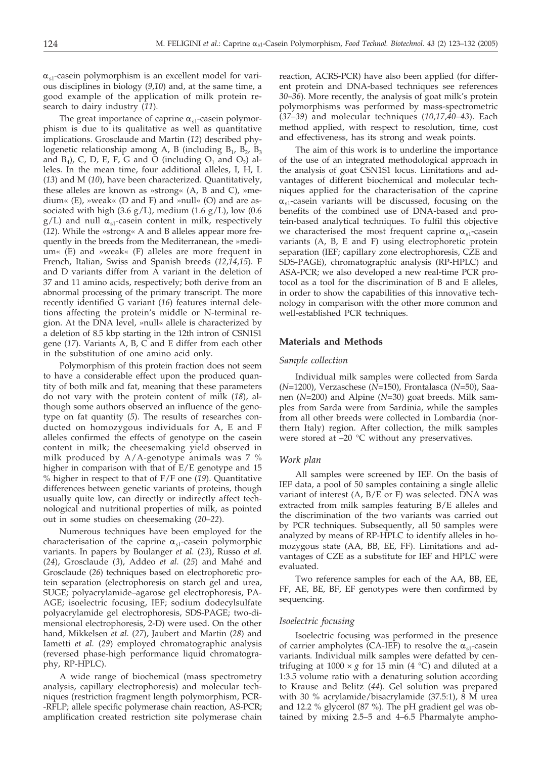$\alpha_{s1}$ -casein polymorphism is an excellent model for various disciplines in biology (*9*,*10*) and, at the same time, a good example of the application of milk protein research to dairy industry (*11*).

The great importance of caprine  $\alpha_{s1}$ -casein polymorphism is due to its qualitative as well as quantitative implications. Grosclaude and Martin (*12*) described phylogenetic relationship among A, B (including  $B_1$ ,  $B_2$ ,  $B_3$ and  $B_4$ ), C, D, E, F, G and O (including  $O_1$  and  $O_2$ ) alleles. In the mean time, four additional alleles, I, H, L (*13*) and M (*10*), have been characterized. Quantitatively, these alleles are known as »strong« (A, B and C), »medium«  $(E)$ , »weak«  $(D \text{ and } F)$  and »null«  $(O)$  and are associated with high (3.6  $g/L$ ), medium (1.6  $g/L$ ), low (0.6  $g/L$ ) and null  $\alpha_{s1}$ -casein content in milk, respectively (*12*). While the »strong« A and B alleles appear more frequently in the breeds from the Mediterranean, the »medium« (E) and »weak« (F) alleles are more frequent in French, Italian, Swiss and Spanish breeds (*12*,*14*,*15*). F and D variants differ from A variant in the deletion of 37 and 11 amino acids, respectively; both derive from an abnormal processing of the primary transcript. The more recently identified G variant (*16*) features internal deletions affecting the protein's middle or N-terminal region. At the DNA level, »null« allele is characterized by a deletion of 8.5 kbp starting in the 12th intron of CSN1S1 gene (*17*). Variants A, B, C and E differ from each other in the substitution of one amino acid only.

Polymorphism of this protein fraction does not seem to have a considerable effect upon the produced quantity of both milk and fat, meaning that these parameters do not vary with the protein content of milk (*18*), although some authors observed an influence of the genotype on fat quantity (*5*). The results of researches conducted on homozygous individuals for A, E and F alleles confirmed the effects of genotype on the casein content in milk; the cheesemaking yield observed in milk produced by A/A-genotype animals was 7 % higher in comparison with that of E/E genotype and 15 % higher in respect to that of F/F one (*19*). Quantitative differences between genetic variants of proteins, though usually quite low, can directly or indirectly affect technological and nutritional properties of milk, as pointed out in some studies on cheesemaking (*20–22*).

Numerous techniques have been employed for the characterisation of the caprine  $\alpha_{s1}$ -casein polymorphic variants. In papers by Boulanger *et al.* (*23*), Russo *et al.* (*24*), Grosclaude (*3*), Addeo *et al.* (*25*) and Mahé and Grosclaude (*26*) techniques based on electrophoretic protein separation (electrophoresis on starch gel and urea, SUGE; polyacrylamide–agarose gel electrophoresis, PA-AGE; isoelectric focusing, IEF; sodium dodecylsulfate polyacrylamide gel electrophoresis, SDS-PAGE; two-dimensional electrophoresis, 2-D) were used. On the other hand, Mikkelsen *et al.* (*27*), Jaubert and Martin (*28*) and Iametti *et al.* (*29*) employed chromatographic analysis (reversed phase-high performance liquid chromatography, RP-HPLC).

A wide range of biochemical (mass spectrometry analysis, capillary electrophoresis) and molecular techniques (restriction fragment length polymorphism, PCR- -RFLP; allele specific polymerase chain reaction, AS-PCR; amplification created restriction site polymerase chain

reaction, ACRS-PCR) have also been applied (for different protein and DNA-based techniques see references *30*–*36*). More recently, the analysis of goat milk's protein polymorphisms was performed by mass-spectrometric (*37–39*) and molecular techniques (*10,17,40–43*). Each method applied, with respect to resolution, time, cost and effectiveness, has its strong and weak points.

The aim of this work is to underline the importance of the use of an integrated methodological approach in the analysis of goat CSN1S1 locus. Limitations and advantages of different biochemical and molecular techniques applied for the characterisation of the caprine  $\alpha_{s1}$ -casein variants will be discussed, focusing on the benefits of the combined use of DNA-based and protein-based analytical techniques. To fulfil this objective we characterised the most frequent caprine  $\alpha_{s1}$ -casein variants (A, B, E and F) using electrophoretic protein separation (IEF; capillary zone electrophoresis, CZE and SDS-PAGE), chromatographic analysis (RP-HPLC) and ASA-PCR; we also developed a new real-time PCR protocol as a tool for the discrimination of B and E alleles, in order to show the capabilities of this innovative technology in comparison with the other more common and well-established PCR techniques.

#### **Materials and Methods**

#### *Sample collection*

Individual milk samples were collected from Sarda (*N*=1200), Verzaschese (*N*=150), Frontalasca (*N*=50), Saanen (*N*=200) and Alpine (*N*=30) goat breeds. Milk samples from Sarda were from Sardinia, while the samples from all other breeds were collected in Lombardia (northern Italy) region. After collection, the milk samples were stored at –20 °C without any preservatives.

#### *Work plan*

All samples were screened by IEF. On the basis of IEF data, a pool of 50 samples containing a single allelic variant of interest (A, B/E or F) was selected. DNA was extracted from milk samples featuring B/E alleles and the discrimination of the two variants was carried out by PCR techniques. Subsequently, all 50 samples were analyzed by means of RP-HPLC to identify alleles in homozygous state (AA, BB, EE, FF). Limitations and advantages of CZE as a substitute for IEF and HPLC were evaluated.

Two reference samples for each of the AA, BB, EE, FF, AE, BE, BF, EF genotypes were then confirmed by sequencing.

#### *Isoelectric focusing*

Isoelectric focusing was performed in the presence of carrier ampholytes (CA-IEF) to resolve the  $\alpha_{s1}$ -casein variants. Individual milk samples were defatted by centrifuging at  $1000 \times g$  for 15 min (4 °C) and diluted at a 1:3.5 volume ratio with a denaturing solution according to Krause and Belitz (*44*). Gel solution was prepared with 30 % acrylamide/bisacrylamide (37.5:1), 8 M urea and 12.2 % glycerol (87 %). The pH gradient gel was obtained by mixing 2.5–5 and 4–6.5 Pharmalyte ampho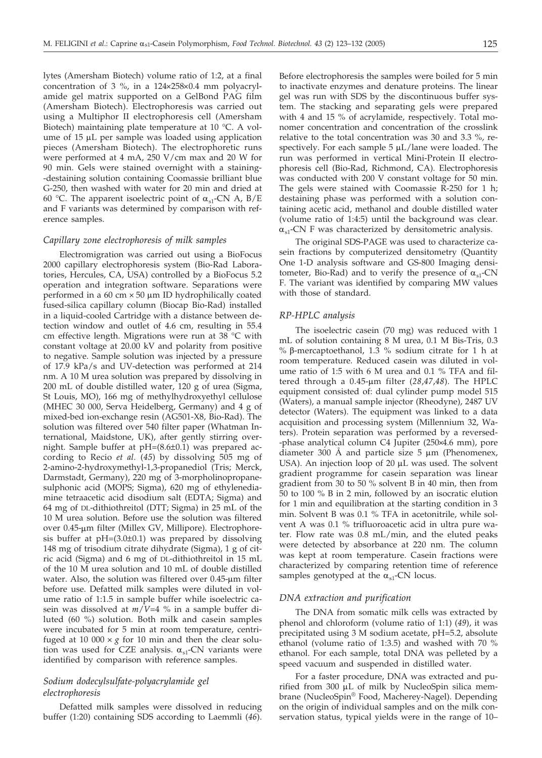lytes (Amersham Biotech) volume ratio of 1:2, at a final concentration of 3 %, in a  $124\times258\times0.4$  mm polyacrylamide gel matrix supported on a GelBond PAG film (Amersham Biotech). Electrophoresis was carried out using a Multiphor II electrophoresis cell (Amersham Biotech) maintaining plate temperature at 10 °C. A volume of  $15 \mu L$  per sample was loaded using application pieces (Amersham Biotech). The electrophoretic runs were performed at 4 mA, 250 V/cm max and 20 W for 90 min. Gels were stained overnight with a staining- -destaining solution containing Coomassie brilliant blue G-250, then washed with water for 20 min and dried at 60 °C. The apparent isoelectric point of  $\alpha_{s1}$ -CN A, B/E and F variants was determined by comparison with reference samples.

## *Capillary zone electrophoresis of milk samples*

Electromigration was carried out using a BioFocus 2000 capillary electrophoresis system (Bio-Rad Laboratories, Hercules, CA, USA) controlled by a BioFocus 5.2 operation and integration software. Separations were performed in a 60 cm  $\times$  50 µm ID hydrophilically coated fused-silica capillary column (Biocap Bio-Rad) installed in a liquid-cooled Cartridge with a distance between detection window and outlet of 4.6 cm, resulting in 55.4 cm effective length. Migrations were run at 38 °C with constant voltage at 20.00 kV and polarity from positive to negative. Sample solution was injected by a pressure of 17.9 kPa/s and UV-detection was performed at 214 nm. A 10 M urea solution was prepared by dissolving in 200 mL of double distilled water, 120 g of urea (Sigma, St Louis, MO), 166 mg of methylhydroxyethyl cellulose (MHEC 30 000, Serva Heidelberg, Germany) and 4 g of mixed-bed ion-exchange resin (AG501-X8, Bio-Rad). The solution was filtered over 540 filter paper (Whatman International, Maidstone, UK), after gently stirring overnight. Sample buffer at pH=(8.6±0.1) was prepared according to Recio *et al.* (*45*) by dissolving 505 mg of 2-amino-2-hydroxymethyl-1,3-propanediol (Tris; Merck, Darmstadt, Germany), 220 mg of 3-morpholinopropanesulphonic acid (MOPS; Sigma), 620 mg of ethylenediamine tetraacetic acid disodium salt (EDTA; Sigma) and 64 mg of DL-dithiothreitol (DTT; Sigma) in 25 mL of the 10 M urea solution. Before use the solution was filtered over 0.45-µm filter (Millex GV, Millipore). Electrophoresis buffer at  $pH=(3.0\pm0.1)$  was prepared by dissolving 148 mg of trisodium citrate dihydrate (Sigma), 1 g of citric acid (Sigma) and 6 mg of DL-dithiothreitol in 15 mL of the 10 M urea solution and 10 mL of double distilled water. Also, the solution was filtered over  $0.45$ - $\mu$ m filter before use. Defatted milk samples were diluted in volume ratio of 1:1.5 in sample buffer while isoelectric casein was dissolved at *m*/*V*=4 % in a sample buffer diluted (60 %) solution. Both milk and casein samples were incubated for 5 min at room temperature, centrifuged at 10 000  $\times$  *g* for 10 min and then the clear solution was used for CZE analysis.  $\alpha_{s1}$ -CN variants were identified by comparison with reference samples.

## *Sodium dodecylsulfate-polyacrylamide gel electrophoresis*

Defatted milk samples were dissolved in reducing buffer (1:20) containing SDS according to Laemmli (*46*).

Before electrophoresis the samples were boiled for 5 min to inactivate enzymes and denature proteins. The linear gel was run with SDS by the discontinuous buffer system. The stacking and separating gels were prepared with 4 and 15 % of acrylamide, respectively. Total monomer concentration and concentration of the crosslink relative to the total concentration was 30 and 3.3 %, respectively. For each sample  $5 \mu L/l$ ane were loaded. The run was performed in vertical Mini-Protein II electrophoresis cell (Bio-Rad, Richmond, CA). Electrophoresis was conducted with 200 V constant voltage for 50 min. The gels were stained with Coomassie R-250 for 1 h; destaining phase was performed with a solution containing acetic acid, methanol and double distilled water (volume ratio of 1:4:5) until the background was clear.  $\alpha_{\rm s1}$ -CN F was characterized by densitometric analysis.

The original SDS-PAGE was used to characterize casein fractions by computerized densitometry (Quantity One 1-D analysis software and GS-800 Imaging densitometer, Bio-Rad) and to verify the presence of  $\alpha_{s1}$ -CN F. The variant was identified by comparing MW values with those of standard.

#### *RP-HPLC analysis*

The isoelectric casein (70 mg) was reduced with 1 mL of solution containing 8 M urea, 0.1 M Bis-Tris, 0.3 % b-mercaptoethanol, 1.3 % sodium citrate for 1 h at room temperature. Reduced casein was diluted in volume ratio of 1:5 with 6 M urea and 0.1 % TFA and filtered through a 0.45-µm filter (28,47,48). The HPLC equipment consisted of: dual cylinder pump model 515 (Waters), a manual sample injector (Rheodyne), 2487 UV detector (Waters). The equipment was linked to a data acquisition and processing system (Millennium 32, Waters). Protein separation was performed by a reversed- -phase analytical column C4 Jupiter (250×4.6 mm), pore diameter 300 Å and particle size  $5 \mu m$  (Phenomenex, USA). An injection loop of  $20 \mu L$  was used. The solvent gradient programme for casein separation was linear gradient from 30 to 50 % solvent B in 40 min, then from 50 to 100 % B in 2 min, followed by an isocratic elution for 1 min and equilibration at the starting condition in 3 min. Solvent B was 0.1 % TFA in acetonitrile, while solvent A was 0.1 % trifluoroacetic acid in ultra pure water. Flow rate was 0.8 mL/min, and the eluted peaks were detected by absorbance at 220 nm. The column was kept at room temperature. Casein fractions were characterized by comparing retention time of reference samples genotyped at the  $\alpha_{s1}$ -CN locus.

#### *DNA extraction and purification*

The DNA from somatic milk cells was extracted by phenol and chloroform (volume ratio of 1:1) (*49*), it was precipitated using 3 M sodium acetate, pH=5.2, absolute ethanol (volume ratio of 1:3.5) and washed with 70 % ethanol. For each sample, total DNA was pelleted by a speed vacuum and suspended in distilled water.

For a faster procedure, DNA was extracted and purified from  $300 \mu L$  of milk by NucleoSpin silica membrane (NucleoSpin® Food, Macherey-Nagel). Depending on the origin of individual samples and on the milk conservation status, typical yields were in the range of 10–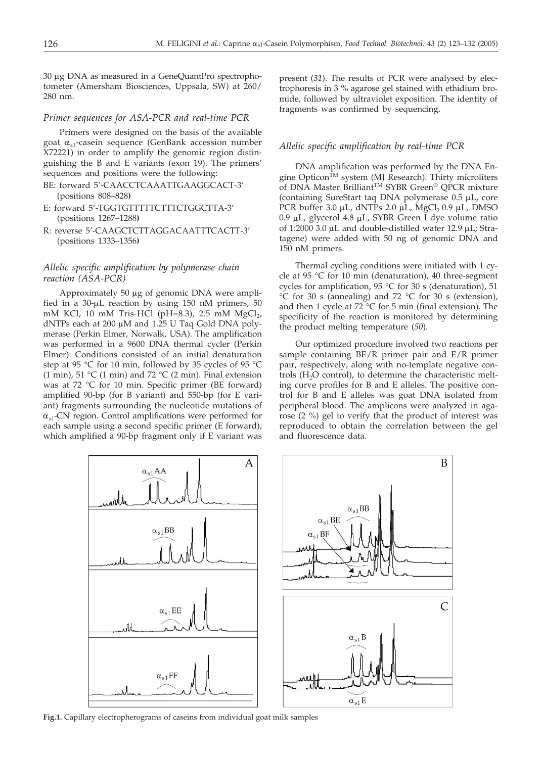30 µg DNA as measured in a GeneQuantPro spectrophotometer (Amersham Biosciences, Uppsala, SW) at 260/ 280 nm.

#### *Primer sequences for ASA-PCR and real-time PCR*

Primers were designed on the basis of the available goat  $\alpha_{s1}$ -casein sequence (GenBank accession number X72221) in order to amplify the genomic region distinguishing the B and E variants (exon 19). The primers' sequences and positions were the following:

- BE: forward 5'-CAACCTCAAATTGAAGGCACT-3' (positions 808–828**)**
- E: forward 5'-TGGTGTTTTTCTTTCTGGCTTA-3' (positions 1267–1288**)**
- R: reverse 5'-CAAGCTCTTAGGACAATTTCACTT-3' (positions 1333–1356**)**

## *Allelic specific amplification by polymerase chain reaction (ASA-PCR)*

Approximately 50  $\mu$ g of genomic DNA were amplified in a  $30-\mu L$  reaction by using 150 nM primers, 50 mM KCl, 10 mM Tris-HCl (pH=8.3), 2.5 mM  $MgCl<sub>2</sub>$ , dNTPs each at 200 µM and 1.25 U Taq Gold DNA polymerase (Perkin Elmer, Norwalk, USA). The amplification was performed in a 9600 DNA thermal cycler (Perkin Elmer). Conditions consisted of an initial denaturation step at 95 °C for 10 min, followed by 35 cycles of 95 °C (1 min), 51 °C (1 min) and 72 °C (2 min). Final extension was at 72 °C for 10 min. Specific primer (BE forward) amplified 90-bp (for B variant) and 550-bp (for E variant) fragments surrounding the nucleotide mutations of  $\alpha_{s1}$ -CN region. Control amplifications were performed for each sample using a second specific primer (E forward), which amplified a 90-bp fragment only if E variant was present (*31*). The results of PCR were analysed by electrophoresis in 3 % agarose gel stained with ethidium bromide, followed by ultraviolet exposition. The identity of fragments was confirmed by sequencing.

## *Allelic specific amplification by real-time PCR*

DNA amplification was performed by the DNA Engine Opticon $^{\tilde{T}M}$  system (MJ Research). Thirty microliters of DNA Master Brilliant<sup>™</sup> SYBR Green<sup>®</sup> QPCR mixture (containing SureStart taq DNA polymerase  $0.5 \mu L$ , core PCR buffer 3.0  $\mu$ L, dNTPs 2.0  $\mu$ L, MgCl<sub>2</sub> 0.9  $\mu$ L, DMSO 0.9 mL, glycerol 4.8 mL, SYBR Green I dye volume ratio of 1:2000 3.0  $\mu$ L and double-distilled water 12.9  $\mu$ L; Stratagene) were added with 50 ng of genomic DNA and 150 nM primers.

Thermal cycling conditions were initiated with 1 cycle at 95 °C for 10 min (denaturation), 40 three-segment cycles for amplification, 95 °C for 30 s (denaturation), 51  $\rm{^{\circ}C}$  for 30 s (annealing) and 72  $\rm{^{\circ}C}$  for 30 s (extension), and then 1 cycle at  $72^{\circ}$ C for 5 min (final extension). The specificity of the reaction is monitored by determining the product melting temperature (*50*).

Our optimized procedure involved two reactions per sample containing BE/R primer pair and E/R primer pair, respectively, along with no-template negative controls  $(H<sub>2</sub>O control)$ , to determine the characteristic melting curve profiles for B and E alleles. The positive control for B and E alleles was goat DNA isolated from peripheral blood. The amplicons were analyzed in agarose (2 %) gel to verify that the product of interest was reproduced to obtain the correlation between the gel and fluorescence data.



**Fig.1.** Capillary electropherograms of caseins from individual goat milk samples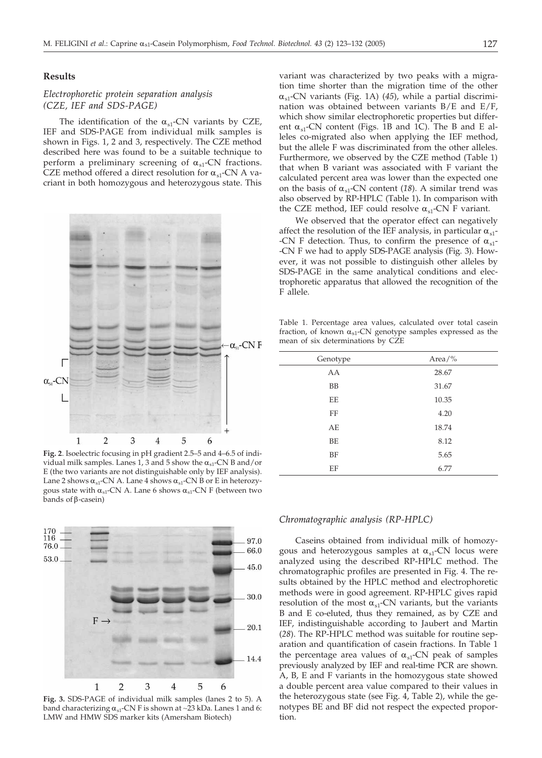## **Results**

## *Electrophoretic protein separation analysis (CZE, IEF and SDS-PAGE)*

The identification of the  $\alpha_{s1}$ -CN variants by CZE, IEF and SDS-PAGE from individual milk samples is shown in Figs. 1, 2 and 3, respectively. The CZE method described here was found to be a suitable technique to perform a preliminary screening of  $\alpha_{s1}$ -CN fractions. CZE method offered a direct resolution for  $\alpha_{\rm s1}$ -CN A vacriant in both homozygous and heterozygous state. This



**Fig. 2**. Isoelectric focusing in pH gradient 2.5–5 and 4–6.5 of individual milk samples. Lanes 1, 3 and 5 show the  $\alpha_{s1}$ -CN B and/or E (the two variants are not distinguishable only by IEF analysis). Lane 2 shows  $\alpha_{s1}$ -CN A. Lane 4 shows  $\alpha_{s1}$ -CN B or E in heterozygous state with  $\alpha_{s1}$ -CN A. Lane 6 shows  $\alpha_{s1}$ -CN F (between two bands of  $\beta$ -casein)



**Fig. 3.** SDS-PAGE of individual milk samples (lanes 2 to 5). A band characterizing  $\alpha_{s1}$ -CN F is shown at ~23 kDa. Lanes 1 and 6: LMW and HMW SDS marker kits (Amersham Biotech)

variant was characterized by two peaks with a migration time shorter than the migration time of the other  $\alpha_{s1}$ -CN variants (Fig. 1A) (45), while a partial discrimination was obtained between variants B/E and E/F, which show similar electrophoretic properties but different  $\alpha_{s1}$ -CN content (Figs. 1B and 1C). The B and E alleles co-migrated also when applying the IEF method, but the allele F was discriminated from the other alleles. Furthermore, we observed by the CZE method (Table 1) that when B variant was associated with F variant the calculated percent area was lower than the expected one on the basis of  $\alpha_{s1}$ -CN content (18). A similar trend was also observed by RP-HPLC (Table 1)**.** In comparison with the CZE method, IEF could resolve  $\alpha_{s1}$ -CN F variant.

We observed that the operator effect can negatively affect the resolution of the IEF analysis, in particular  $\alpha_{s1}$ --CN F detection. Thus, to confirm the presence of  $\alpha_{s1}$ --CN F we had to apply SDS-PAGE analysis (Fig. 3). However, it was not possible to distinguish other alleles by SDS-PAGE in the same analytical conditions and electrophoretic apparatus that allowed the recognition of the F allele.

Table 1. Percentage area values, calculated over total casein fraction, of known  $\alpha_{s1}$ -CN genotype samples expressed as the mean of six determinations by CZE

| Genotype | Area/% |
|----------|--------|
| AA       | 28.67  |
| BB       | 31.67  |
| EE       | 10.35  |
| FF       | 4.20   |
| AE       | 18.74  |
| BE       | 8.12   |
| BF       | 5.65   |
| EF       | 6.77   |
|          |        |

## *Chromatographic analysis (RP-HPLC)*

Caseins obtained from individual milk of homozygous and heterozygous samples at  $\alpha_{s1}$ -CN locus were analyzed using the described RP-HPLC method. The chromatographic profiles are presented in Fig. 4. The results obtained by the HPLC method and electrophoretic methods were in good agreement. RP-HPLC gives rapid resolution of the most  $\alpha_{s1}$ -CN variants, but the variants B and E co-eluted, thus they remained, as by CZE and IEF, indistinguishable according to Jaubert and Martin (*28*). The RP-HPLC method was suitable for routine separation and quantification of casein fractions. In Table 1 the percentage area values of  $\alpha_{s1}$ -CN peak of samples previously analyzed by IEF and real-time PCR are shown. A, B, E and F variants in the homozygous state showed a double percent area value compared to their values in the heterozygous state (see Fig. 4, Table 2), while the genotypes BE and BF did not respect the expected proportion.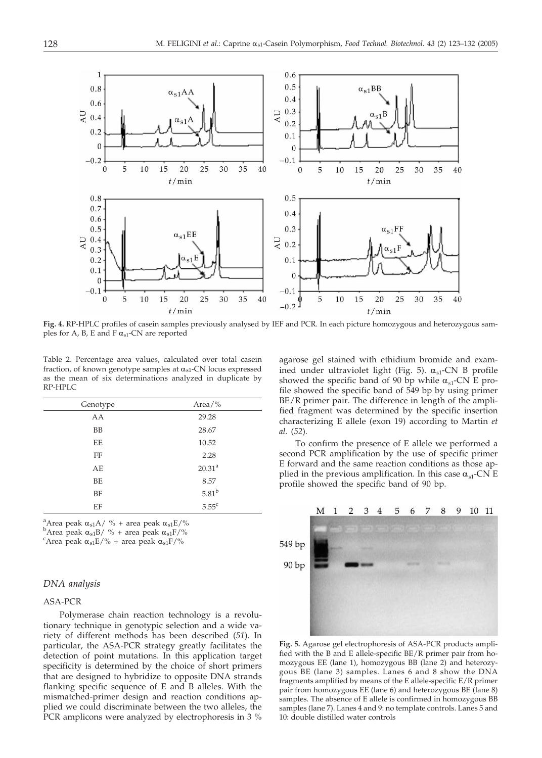

**Fig. 4.** RP-HPLC profiles of casein samples previously analysed by IEF and PCR. In each picture homozygous and heterozygous samples for A, B, E and F  $\alpha_{s1}$ -CN are reported

Table 2. Percentage area values, calculated over total casein fraction, of known genotype samples at  $\alpha_{s1}$ -CN locus expressed as the mean of six determinations analyzed in duplicate by RP-HPLC

| Genotype  | Area/%             |
|-----------|--------------------|
| AA        | 29.28              |
| <b>BB</b> | 28.67              |
| EE        | 10.52              |
| FF        | 2.28               |
| AE        | 20.31 <sup>a</sup> |
| BE        | 8.57               |
| BF        | 5.81 <sup>b</sup>  |
| EF        | $5.55^{\circ}$     |

<sup>a</sup>Area peak  $\alpha_{s1}A / \%$  + area peak  $\alpha_{s1}E / \%$ 

 $b$ Area peak  $\alpha_{s1}B/$  % + area peak  $\alpha_{s1}F/$ %

<sup>c</sup>Area peak  $\alpha_{s1}E/\%$  + area peak  $\alpha_{s1}F/\%$ 

#### *DNA analysis*

## ASA-PCR

Polymerase chain reaction technology is a revolutionary technique in genotypic selection and a wide variety of different methods has been described (*51*). In particular, the ASA-PCR strategy greatly facilitates the detection of point mutations. In this application target specificity is determined by the choice of short primers that are designed to hybridize to opposite DNA strands flanking specific sequence of E and B alleles. With the mismatched-primer design and reaction conditions applied we could discriminate between the two alleles, the PCR amplicons were analyzed by electrophoresis in 3 %

agarose gel stained with ethidium bromide and examined under ultraviolet light (Fig. 5).  $\alpha_{s1}$ -CN B profile showed the specific band of 90 bp while  $\alpha_{s1}$ -CN E profile showed the specific band of 549 bp by using primer BE/R primer pair. The difference in length of the amplified fragment was determined by the specific insertion characterizing E allele (exon 19) according to Martin *et al.* (*52*).

To confirm the presence of E allele we performed a second PCR amplification by the use of specific primer E forward and the same reaction conditions as those applied in the previous amplification. In this case  $\alpha_{s1}$ -CN E profile showed the specific band of 90 bp.



**Fig. 5.** Agarose gel electrophoresis of ASA-PCR products amplified with the B and E allele-specific BE/R primer pair from homozygous EE (lane 1), homozygous BB (lane 2) and heterozygous BE (lane 3) samples. Lanes 6 and 8 show the DNA fragments amplified by means of the E allele-specific E/R primer pair from homozygous EE (lane 6) and heterozygous BE (lane 8) samples. The absence of E allele is confirmed in homozygous BB samples (lane 7). Lanes 4 and 9: no template controls. Lanes 5 and 10: double distilled water controls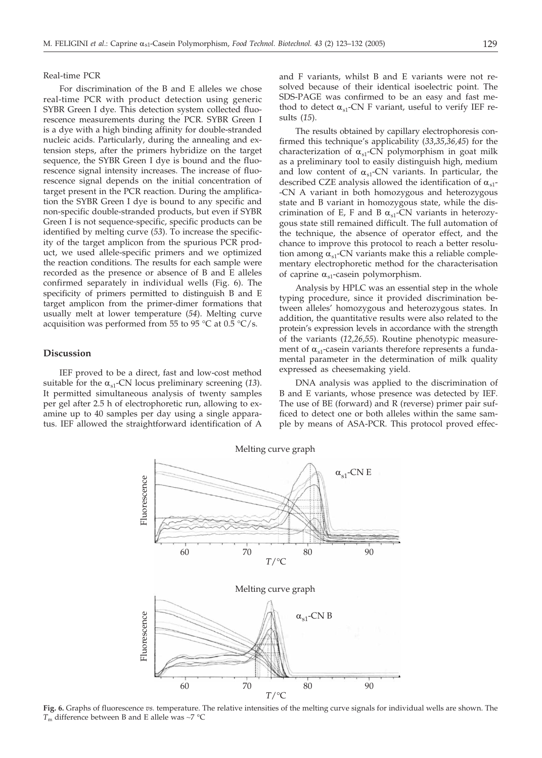#### Real-time PCR

For discrimination of the B and E alleles we chose real-time PCR with product detection using generic SYBR Green I dye. This detection system collected fluorescence measurements during the PCR. SYBR Green I is a dye with a high binding affinity for double-stranded nucleic acids. Particularly, during the annealing and extension steps, after the primers hybridize on the target sequence, the SYBR Green I dye is bound and the fluorescence signal intensity increases. The increase of fluorescence signal depends on the initial concentration of target present in the PCR reaction. During the amplification the SYBR Green I dye is bound to any specific and non-specific double-stranded products, but even if SYBR Green I is not sequence-specific, specific products can be identified by melting curve (*53*). To increase the specificity of the target amplicon from the spurious PCR product, we used allele-specific primers and we optimized the reaction conditions. The results for each sample were recorded as the presence or absence of B and E alleles confirmed separately in individual wells (Fig. 6). The specificity of primers permitted to distinguish B and E target amplicon from the primer-dimer formations that usually melt at lower temperature (*54*). Melting curve acquisition was performed from 55 to 95 °C at 0.5 °C/s.

## **Discussion**

IEF proved to be a direct, fast and low-cost method suitable for the  $\alpha_{s1}$ -CN locus preliminary screening (13). It permitted simultaneous analysis of twenty samples per gel after 2.5 h of electrophoretic run, allowing to examine up to 40 samples per day using a single apparatus. IEF allowed the straightforward identification of A and F variants, whilst B and E variants were not resolved because of their identical isoelectric point. The SDS-PAGE was confirmed to be an easy and fast method to detect  $\alpha_{s1}$ -CN F variant, useful to verify IEF results (*15*).

The results obtained by capillary electrophoresis confirmed this technique's applicability (*33*,*35*,*36,45*) for the characterization of  $\alpha_{s1}$ -CN polymorphism in goat milk as a preliminary tool to easily distinguish high, medium and low content of  $\alpha_{s1}$ -CN variants. In particular, the described CZE analysis allowed the identification of  $\alpha_{s1}$ --CN A variant in both homozygous and heterozygous state and B variant in homozygous state, while the discrimination of E, F and B  $\alpha_{s1}$ -CN variants in heterozygous state still remained difficult. The full automation of the technique, the absence of operator effect, and the chance to improve this protocol to reach a better resolution among  $\alpha_{s1}$ -CN variants make this a reliable complementary electrophoretic method for the characterisation of caprine  $\alpha_{s1}$ -casein polymorphism.

Analysis by HPLC was an essential step in the whole typing procedure, since it provided discrimination between alleles' homozygous and heterozygous states. In addition, the quantitative results were also related to the protein's expression levels in accordance with the strength of the variants (*12,26,55*). Routine phenotypic measurement of  $\alpha_{s1}$ -casein variants therefore represents a fundamental parameter in the determination of milk quality expressed as cheesemaking yield.

DNA analysis was applied to the discrimination of B and E variants, whose presence was detected by IEF. The use of BE (forward) and R (reverse) primer pair sufficed to detect one or both alleles within the same sample by means of ASA-PCR. This protocol proved effec-



**Fig. 6.** Graphs of fluorescence *vs.* temperature. The relative intensities of the melting curve signals for individual wells are shown. The  $T<sub>m</sub>$  difference between B and E allele was ~7 °C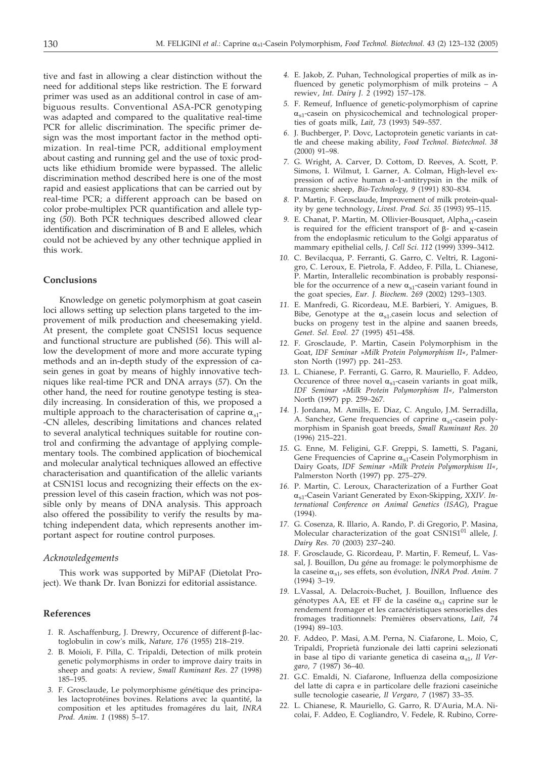tive and fast in allowing a clear distinction without the need for additional steps like restriction. The E forward primer was used as an additional control in case of ambiguous results. Conventional ASA-PCR genotyping was adapted and compared to the qualitative real-time PCR for allelic discrimination. The specific primer design was the most important factor in the method optimization. In real-time PCR, additional employment about casting and running gel and the use of toxic products like ethidium bromide were bypassed. The allelic discrimination method described here is one of the most rapid and easiest applications that can be carried out by real-time PCR; a different approach can be based on color probe-multiplex PCR quantification and allele typing (*50*). Both PCR techniques described allowed clear identification and discrimination of B and E alleles, which could not be achieved by any other technique applied in this work.

#### **Conclusions**

Knowledge on genetic polymorphism at goat casein loci allows setting up selection plans targeted to the improvement of milk production and cheesemaking yield. At present, the complete goat CNS1S1 locus sequence and functional structure are published (*56*). This will allow the development of more and more accurate typing methods and an in-depth study of the expression of casein genes in goat by means of highly innovative techniques like real-time PCR and DNA arrays (*57*). On the other hand, the need for routine genotype testing is steadily increasing. In consideration of this, we proposed a multiple approach to the characterisation of caprine  $\alpha_{s1}$ --CN alleles, describing limitations and chances related to several analytical techniques suitable for routine control and confirming the advantage of applying complementary tools. The combined application of biochemical and molecular analytical techniques allowed an effective characterisation and quantification of the allelic variants at CSN1S1 locus and recognizing their effects on the expression level of this casein fraction, which was not possible only by means of DNA analysis. This approach also offered the possibility to verify the results by matching independent data, which represents another important aspect for routine control purposes.

### *Acknowledgements*

This work was supported by MiPAF (Dietolat Project). We thank Dr. Ivan Bonizzi for editorial assistance.

#### **References**

- 1. R. Aschaffenburg, J. Drewry, Occurence of different β-lactoglobulin in cow's milk, *Nature, 176* (1955) 218–219.
- *2.* B. Moioli, F. Pilla, C. Tripaldi, Detection of milk protein genetic polymorphisms in order to improve dairy traits in sheep and goats: A review, *Small Ruminant Res*. *27* (1998) 185–195.
- *3.* F. Grosclaude, Le polymorphisme génétique des principales lactoprotéines bovines. Relations avec la quantité, la composition et les aptitudes fromagéres du lait, *INRA Prod. Anim*. *1* (1988) 5–17.
- *4.* E. Jakob, Z. Puhan, Technological properties of milk as influenced by genetic polymorphism of milk proteins – A rewiev, *Int. Dairy J. 2* (1992) 157–178.
- *5.* F. Remeuf, Influence of genetic-polymorphism of caprine  $\alpha_{s1}$ -casein on physicochemical and technological properties of goats milk, *Lait, 73* (1993) 549–557.
- *6.* J. Buchberger, P. Dovc, Lactoprotein genetic variants in cattle and cheese making ability, *Food Technol. Biotechnol. 38* (2000) 91–98.
- *7.* G. Wright, A. Carver, D. Cottom, D. Reeves, A. Scott, P. Simons, I. Wilmut, I. Garner, A. Colman, High-level expression of active human  $\alpha$ -1-antitrypsin in the milk of transgenic sheep, *Bio-Technology, 9* (1991) 830–834.
- *8.* P. Martin, F. Grosclaude, Improvement of milk protein-quality by gene technology, *Livest. Prod. Sci. 35* (1993) 95–115.
- 9. E. Chanat, P. Martin, M. Ollivier-Bousquet, Alpha<sub>s1</sub>-casein is required for the efficient transport of  $\beta$ - and  $\kappa$ -casein from the endoplasmic reticulum to the Golgi apparatus of mammary epithelial cells, *J. Cell Sci. 112* (1999) 3399–3412.
- *10.* C. Bevilacqua, P. Ferranti, G. Garro, C. Veltri, R. Lagonigro, C. Leroux, E. Pietrola, F. Addeo, F. Pilla, L. Chianese, P. Martin, Interallelic recombination is probably responsible for the occurrence of a new  $\alpha_{s1}$ -casein variant found in the goat species, *Eur. J. Biochem*. *269* (2002) 1293–1303.
- *11.* E. Manfredi, G. Ricordeau, M.E. Barbieri, Y. Amigues, B. Bibe, Genotype at the  $\alpha_{s1}$ -casein locus and selection of bucks on progeny test in the alpine and saanen breeds, *Genet. Sel. Evol. 27* (1995) 451–458.
- *12.* F. Grosclaude, P. Martin, Casein Polymorphism in the Goat, *IDF Seminar »Milk Protein Polymorphism II«*, Palmerston North (1997) pp. 241–253.
- *13.* L. Chianese, P. Ferranti, G. Garro, R. Mauriello, F. Addeo, Occurence of three novel  $\alpha_{s1}$ -casein variants in goat milk, *IDF Seminar »Milk Protein Polymorphism II«,* Palmerston North (1997) pp. 259–267.
- *14.* J. Jordana, M. Amills, E. Diaz, C. Angulo, J.M. Serradilla, A. Sanchez, Gene frequencies of caprine  $\alpha_{s1}$ -casein polymorphism in Spanish goat breeds, *Small Ruminant Res. 20* (1996) 215–221.
- *15.* G. Enne, M. Feligini, G.F. Greppi, S. Iametti, S. Pagani, Gene Frequencies of Caprine  $\alpha_{s1}$ -Casein Polymorphism in Dairy Goats, *IDF Seminar »Milk Protein Polymorphism II«*, Palmerston North (1997) pp. 275–279.
- *16.* P. Martin, C. Leroux, Characterization of a Further Goat as1-Casein Variant Generated by Exon-Skipping, *XXIV. International Conference on Animal Genetics (ISAG*), Prague (1994).
- *17.* G. Cosenza, R. Illario, A. Rando, P. di Gregorio, P. Masina, Molecular characterization of the goat CSN1S1<sup>01</sup> allele, *J*. *Dairy Res. 70* (2003) 237–240.
- *18.* F. Grosclaude, G. Ricordeau, P. Martin, F. Remeuf, L. Vassal, J. Bouillon, Du géne au fromage: le polymorphisme de la caseine  $\alpha_{s1}$ , ses effets, son évolution, *INRA Prod. Anim.* 7 (1994) 3–19.
- *19.* L.Vassal, A. Delacroix-Buchet, J. Bouillon, Influence des génotypes AA, EE et FF de la caséine  $\alpha_{s1}$  caprine sur le rendement fromager et les caractéristiques sensorielles des fromages traditionnels: Premières observations, *Lait, 74* (1994) 89–103.
- *20.* F. Addeo, P. Masi, A.M. Perna, N. Ciafarone, L. Moio, C, Tripaldi, Proprietà funzionale dei latti caprini selezionati in base al tipo di variante genetica di caseina  $\alpha_{s1}$ , *Il Vergaro, 7* (1987) 36–40.
- *21.* G.C. Emaldi, N. Ciafarone, Influenza della composizione del latte di capra e in particolare delle frazioni caseiniche sulle tecnologie casearie, *Il Vergaro, 7* (1987) 33–35.
- *22.* L. Chianese, R. Mauriello, G. Garro, R. D'Auria, M.A. Nicolai, F. Addeo, E. Cogliandro, V. Fedele, R. Rubino, Corre-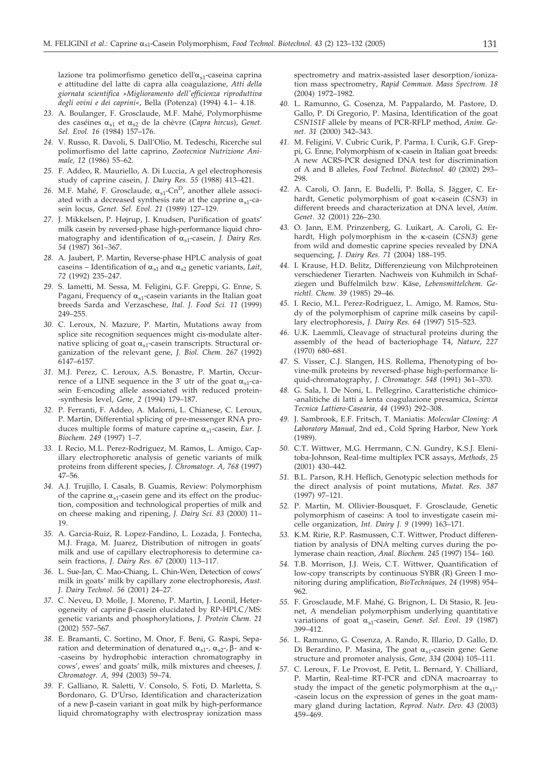lazione tra polimorfismo genetico dell' $\alpha_{s1}$ -caseina caprina e attitudine del latte di capra alla coagulazione, *Atti della giornata scientifica »Miglioramento dell'efficienza riproduttiva degli ovini e dei caprini«*, Bella (Potenza) (1994) 4.1– 4.18.

- *23.* A. Boulanger, F. Grosclaude, M.F. Mahé, Polymorphisme des caséines  $\alpha_{s1}$  et  $\alpha_{s2}$  de la chèvre (*Capra hircus*), *Genet*. *Sel. Evol. 16* (1984) 157–176.
- *24.* V. Russo, R. Davoli, S. Dall'Olio, M. Tedeschi, Ricerche sul polimorfismo del latte caprino, *Zootecnica Nutrizione Animale, 12* (1986) 55–62.
- *25.* F. Addeo, R. Mauriello, A. Di Luccia, A gel electrophoresis study of caprine casein, *J. Dairy Res. 55* (1988) 413–421.
- 26. M.F. Mahé, F. Grosclaude,  $\alpha_{s1}$ -Cn<sup>D</sup>, another allele associated with a decreased synthesis rate at the caprine  $\alpha_{s1}$ -casein locus, *Genet. Sel. Evol. 21* (1989) 127–129.
- *27.* J. Mikkelsen, P. Højrup, J. Knudsen, Purification of goats' milk casein by reversed-phase high-performance liquid chromatography and identification of  $\alpha_{s1}$ -casein, *J. Dairy Res. 54* (1987) 361–367.
- *28.* A. Jaubert, P. Martin, Reverse-phase HPLC analysis of goat caseins – Identification of  $\alpha_{s1}$  and  $\alpha_{s2}$  genetic variants, *Lait*, *72* (1992) 235–247.
- *29.* S. Iametti, M. Sessa, M. Feligini, G.F. Greppi, G. Enne, S. Pagani, Frequency of  $\alpha_{s1}$ -casein variants in the Italian goat breeds Sarda and Verzaschese, *Ital. J. Food Sci. 11* (1999) 249–255.
- *30.* C. Leroux, N. Mazure, P. Martin, Mutations away from splice site recognition sequences might cis-modulate alternative splicing of goat  $\alpha_{s1}$ -casein transcripts. Structural organization of the relevant gene, *J. Biol. Chem. 267* (1992) 6147–6157.
- *31.* M.J. Perez, C. Leroux, A.S. Bonastre, P. Martin, Occurrence of a LINE sequence in the 3' utr of the goat  $\alpha_{s1}$ -casein E-encoding allele associated with reduced protein- -synthesis level, *Gene, 2* (1994) 179–187.
- *32.* P. Ferranti, F. Addeo, A. Malorni, L. Chianese, C. Leroux, P. Martin, Differential splicing of pre-messenger RNA produces multiple forms of mature caprine  $\alpha_{s1}$ -casein, *Eur. J. Biochem. 249* (1997) 1–7.
- *33.* I. Recio, M.L. Perez-Rodriguez, M. Ramos, L. Amigo, Capillary electrophoretic analysis of genetic variants of milk proteins from different species, *J. Chromatogr. A, 768* (1997) 47–56.
- *34.* A.J. Trujillo, I. Casals, B. Guamis, Review: Polymorphism of the caprine  $\alpha_{s1}$ -casein gene and its effect on the production, composition and technological properties of milk and on cheese making and ripening, *J. Dairy Sci. 83* (2000) 11– 19.
- *35.* A. Garcia-Ruiz, R. Lopez-Fandino, L. Lozada, J. Fontecha, M.J. Fraga, M. Juarez, Distribution of nitrogen in goats' milk and use of capillary electrophoresis to determine casein fractions, *J. Dairy Res. 67* (2000) 113–117.
- *36.* L. Sue-Jan, C. Mao-Chiang, L. Chin-Wen, Detection of cows' milk in goats' milk by capillary zone electrophoresis, *Aust. J. Dairy Technol*. *56* (2001) 24–27.
- *37.* C. Neveu, D. Molle, J. Moreno, P. Martin, J. Leonil, Heterogeneity of caprine  $\beta$ -casein elucidated by RP-HPLC/MS: genetic variants and phosphorylations, *J. Protein Chem. 21* (2002) 557–567.
- *38.* E. Bramanti, C. Sortino, M. Onor, F. Beni, G. Raspi, Separation and determination of denatured  $\alpha_{s1}$ -,  $\alpha_{s2}$ -,  $\beta$ - and  $\kappa$ --caseins by hydrophobic interaction chromatography in cows', ewes' and goats' milk, milk mixtures and cheeses, *J. Chromatogr. A, 994* (2003) 59–74.
- *39.* F. Galliano, R. Saletti, V. Consolo, S. Foti, D. Marletta, S. Bordonaro, G. D'Urso, Identification and characterization of a new  $\beta$ -casein variant in goat milk by high-performance liquid chromatography with electrospray ionization mass

spectrometry and matrix-assisted laser desorption/ionization mass spectrometry, *Rapid Commun. Mass Spectrom. 18* (2004) 1972–1982.

- *40.* L. Ramunno, G. Cosenza, M. Pappalardo, M. Pastore, D. Gallo, P. Di Gregorio, P. Masina, Identification of the goat *CSN1S1F* allele by means of PCR-RFLP method, *Anim. Genet. 31* (2000) 342–343.
- *41.* M. Feligini, V. Cubric Curik, P. Parma, I. Curik, G.F. Greppi, G. Enne, Polymorphism of  $\kappa$ -casein in Italian goat breeds: A new ACRS-PCR designed DNA test for discrimination of A and B alleles, *Food Technol. Biotechnol. 40* (2002) 293– 298.
- *42.* A. Caroli, O. Jann, E. Budelli, P. Bolla, S. Jägger, C. Erhardt, Genetic polymorphism of goat k-casein (*CSN3*) in different breeds and characterization at DNA level, *Anim. Genet. 32* (2001) 226–230.
- *43.* O. Jann, E.M. Prinzenberg, G. Luikart, A. Caroli, G. Erhardt, High polymorphism in the <sub>K</sub>-casein (CSN3) gene from wild and domestic caprine species revealed by DNA sequencing, *J. Dairy Res. 71* (2004) 188–195.
- *44.* I. Krause, H.D. Belitz, Differenzieung von Milchproteinen verschiedener Tierarten. Nachweis von Kuhmilch in Schafziegen und Buffelmilch bzw. Käse, *Lebensmittelchem. Gerichtl. Chem. 39* (1985) 29–46.
- *45.* I. Recio, M.L. Perez-Rodriguez, L. Amigo, M. Ramos, Study of the polymorphism of caprine milk caseins by capillary electrophoresis, *J. Dairy Res. 64* (1997) 515–523.
- *46.* U.K. Laemmli, Cleavage of structural proteins during the assembly of the head of bacteriophage T4, *Nature*, *227* (1970) 680–681.
- *47.* S. Visser, C.J. Slangen, H.S. Rollema, Phenotyping of bovine-milk proteins by reversed-phase high-performance liquid-chromatography, *J. Chromatogr. 548* (1991) 361–370.
- *48.* G. Sala, I. De Noni, L. Pellegrino, Caratteristiche chimico- -analitiche di latti a lenta coagulazione presamica, *Scienza Tecnica Lattiero-Casearia*, *44* (1993) 292–308.
- *49.* J. Sambrook, E.F. Fritsch, T. Maniatis: *Molecular Cloning: A Laboratory Manual*, 2nd ed., Cold Spring Harbor, New York (1989).
- *50.* C.T. Wittwer, M.G. Herrmann, C.N. Gundry, K.S.J. Elenitoba-Johnson, Real-time multiplex PCR assays, *Methods*, *25* (2001) 430–442.
- *51.* B.L. Parson, R.H. Heflich, Genotypic selection methods for the direct analysis of point mutations, *Mutat. Res. 387* (1997) 97–121.
- *52.* P. Martin, M. Ollivier-Bousquet, F. Grosclaude, Genetic polymorphism of caseins: A tool to investigate casein micelle organization, *Int. Dairy J. 9* (1999) 163–171.
- *53.* K.M. Ririe, R.P. Rasmussen, C.T. Wittwer, Product differentiation by analysis of DNA melting curves during the polymerase chain reaction, *Anal. Biochem. 245* (1997) 154– 160.
- *54.* T.B. Morrison, J.J. Weis, C.T. Wittwer, Quantification of low-copy transcripts by continuous SYBR (R) Green I monitoring during amplification, *BioTechniques, 24* (1998) 954– 962.
- *55.* F. Grosclaude, M.F. Mahé, G. Brignon, L. Di Stasio, R. Jeunet, A mendelian polymorphism underlying quantitative variations of goat  $\alpha_{s1}$ -casein, *Genet. Sel. Evol.* 19 (1987) 399–412.
- *56.* L. Ramunno, G. Cosenza, A. Rando, R. Illario, D. Gallo, D. Di Berardino, P. Masina, The goat  $\alpha_{s1}$ -casein gene: Gene structure and promoter analysis, *Gene, 334* (2004) 105–111.
- *57.* C. Leroux, F. Le Provost, E. Petit, L. Bernard, Y. Chilliard, P. Martin, Real-time RT-PCR and cDNA macroarray to study the impact of the genetic polymorphism at the  $\alpha_{s1}$ --casein locus on the expression of genes in the goat mammary gland during lactation, *Reprod. Nutr. Dev. 43* (2003) 459–469.